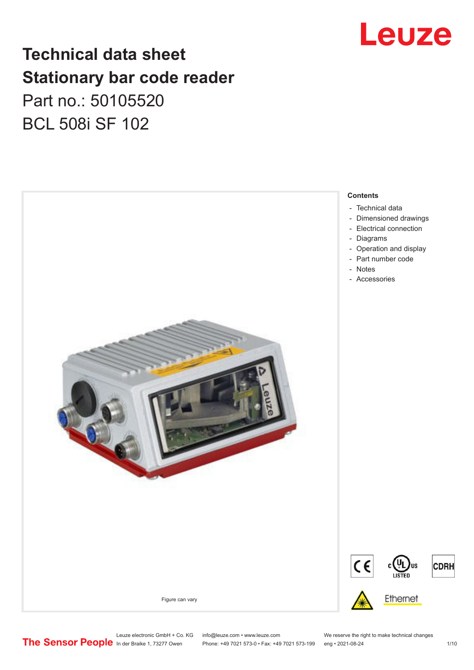

# **Technical data sheet Stationary bar code reader** Part no.: 50105520 BCL 508i SF 102

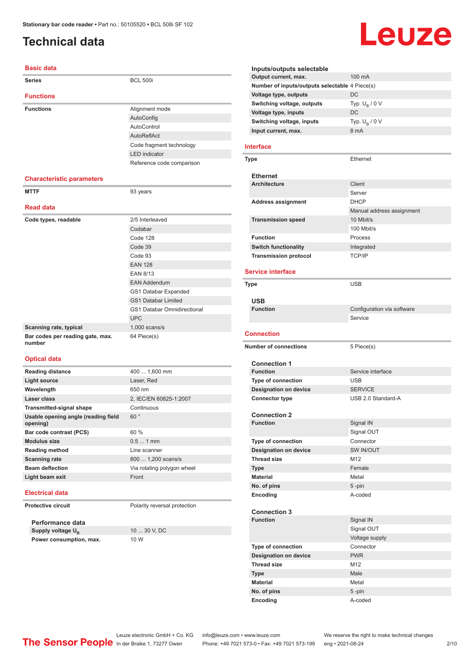# <span id="page-1-0"></span>**Technical data**

#### **Basic data**

| <b>Series</b>                              | <b>BCL 500i</b>                    |
|--------------------------------------------|------------------------------------|
|                                            |                                    |
| <b>Functions</b>                           |                                    |
| <b>Functions</b>                           | Alignment mode                     |
|                                            | AutoConfig                         |
|                                            | AutoControl                        |
|                                            | AutoReflAct                        |
|                                            | Code fragment technology           |
|                                            | <b>LED</b> indicator               |
|                                            | Reference code comparison          |
| <b>Characteristic parameters</b>           |                                    |
| <b>MTTF</b>                                | 93 years                           |
| <b>Read data</b>                           |                                    |
| Code types, readable                       | 2/5 Interleaved                    |
|                                            | Codabar                            |
|                                            | Code 128                           |
|                                            | Code 39                            |
|                                            | Code 93                            |
|                                            | <b>EAN 128</b>                     |
|                                            | FAN 8/13                           |
|                                            | <b>EAN Addendum</b>                |
|                                            | GS1 Databar Expanded               |
|                                            | <b>GS1 Databar Limited</b>         |
|                                            | <b>GS1 Databar Omnidirectional</b> |
|                                            | <b>UPC</b>                         |
| Scanning rate, typical                     | $1,000$ scans/s                    |
| Bar codes per reading gate, max.<br>number | 64 Piece(s)                        |

#### **Optical data**

| <b>Reading distance</b>                         | 400  1,600 mm              |
|-------------------------------------------------|----------------------------|
| <b>Light source</b>                             | Laser, Red                 |
| Wavelength                                      | 650 nm                     |
| Laser class                                     | 2, IEC/EN 60825-1:2007     |
| <b>Transmitted-signal shape</b>                 | Continuous                 |
| Usable opening angle (reading field<br>opening) | $60^{\circ}$               |
| Bar code contrast (PCS)                         | $60 \%$                    |
| <b>Modulus size</b>                             | $0.51$ mm                  |
| <b>Reading method</b>                           | Line scanner               |
| <b>Scanning rate</b>                            | 800  1,200 scans/s         |
| <b>Beam deflection</b>                          | Via rotating polygon wheel |
| Light beam exit                                 | Front                      |
|                                                 |                            |

#### **Electrical data**

**Protective circuit** Polarity reversal protection

**Performance data Supply voltage U<sub>B</sub> Power consumption, max.** 10 W

10 ... 30 V, DC

#### **Inputs/outputs selectable Output current, max.** 100 mA **Number of inputs/outputs selectable** 4 Piece(s) **Voltage type, outputs** DC **Switching voltage, outputs** Typ.<br>Voltage type, inputs DC Typ.  $U_B / 0 V$ **Voltage type, inputs Switching voltage, inputs** Typ. Unit Unit Current. max. 8 mA Typ.  $U_B / 0 V$ **Input current, max.**

Leuze

#### **Interface**

| Type                         | Ethernet                  |
|------------------------------|---------------------------|
| <b>Ethernet</b>              |                           |
| <b>Architecture</b>          | Client                    |
|                              | Server                    |
| <b>Address assignment</b>    | <b>DHCP</b>               |
|                              | Manual address assignment |
| <b>Transmission speed</b>    | 10 Mbit/s                 |
|                              | 100 Mbit/s                |
| <b>Function</b>              | Process                   |
| <b>Switch functionality</b>  | Integrated                |
| <b>Transmission protocol</b> | <b>TCP/IP</b>             |

#### **Service interface**

| Type                         | <b>USB</b>                 |
|------------------------------|----------------------------|
| <b>USB</b>                   |                            |
| <b>Function</b>              | Configuration via software |
|                              | Service                    |
| <b>Connection</b>            |                            |
|                              |                            |
| <b>Number of connections</b> | 5 Piece(s)                 |
|                              |                            |
| <b>Connection 1</b>          |                            |
| <b>Function</b>              | Service interface          |
| <b>Type of connection</b>    | <b>USB</b>                 |
| <b>Designation on device</b> | <b>SERVICE</b>             |
| <b>Connector type</b>        | USB 2.0 Standard-A         |
| <b>Connection 2</b>          |                            |
| <b>Function</b>              | Signal IN                  |
|                              | Signal OUT                 |
| <b>Type of connection</b>    | Connector                  |
| <b>Designation on device</b> | SW IN/OUT                  |
| <b>Thread size</b>           | M <sub>12</sub>            |
| <b>Type</b>                  | Female                     |
| <b>Material</b>              | Metal                      |
| No. of pins                  | $5 - pin$                  |
| Encoding                     | A-coded                    |
|                              |                            |
| <b>Connection 3</b>          |                            |
| <b>Function</b>              | Signal IN                  |
|                              | Signal OUT                 |
|                              | Voltage supply             |
| <b>Type of connection</b>    | Connector                  |
| <b>Designation on device</b> | <b>PWR</b>                 |
| <b>Thread size</b>           | M <sub>12</sub>            |
| <b>Type</b>                  | Male                       |
| <b>Material</b>              | Metal                      |
| No. of pins                  | 5-pin                      |
| Encoding                     | A-coded                    |

Leuze electronic GmbH + Co. KG info@leuze.com • www.leuze.com We reserve the right to make technical changes<br> **The Sensor People** In der Braike 1, 73277 Owen Phone: +49 7021 573-0 • Fax: +49 7021 573-199 eng • 2021-08-24

Phone: +49 7021 573-0 • Fax: +49 7021 573-199 eng • 2021-08-24 2/10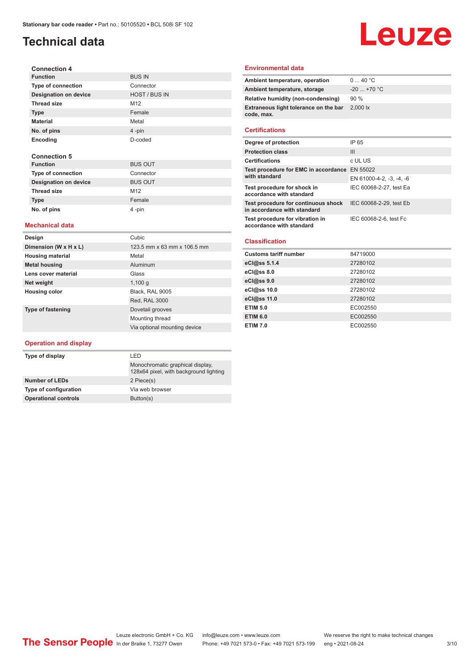# **Technical data**

# Leuze

| <b>Connection 4</b>          |                      |
|------------------------------|----------------------|
| <b>Function</b>              | <b>BUS IN</b>        |
| <b>Type of connection</b>    | Connector            |
| <b>Designation on device</b> | <b>HOST / BUS IN</b> |
| <b>Thread size</b>           | M <sub>12</sub>      |
| <b>Type</b>                  | Female               |
| <b>Material</b>              | Metal                |
| No. of pins                  | 4-pin                |
| <b>Encoding</b>              | D-coded              |
| <b>Connection 5</b>          |                      |
| <b>Function</b>              | <b>BUS OUT</b>       |
| <b>Type of connection</b>    | Connector            |
| <b>Designation on device</b> | <b>BUS OUT</b>       |
| <b>Thread size</b>           | M <sub>12</sub>      |

#### **Mechanical data**

**Type Female No. of pins** 4 -pin

| Design                  | Cubic                        |
|-------------------------|------------------------------|
| Dimension (W x H x L)   | 123.5 mm x 63 mm x 106.5 mm  |
| <b>Housing material</b> | Metal                        |
| <b>Metal housing</b>    | Aluminum                     |
| Lens cover material     | Glass                        |
| Net weight              | 1,100q                       |
| <b>Housing color</b>    | Black. RAL 9005              |
|                         | Red, RAL 3000                |
| Type of fastening       | Dovetail grooves             |
|                         | Mounting thread              |
|                         | Via optional mounting device |

#### **Operation and display**

| Type of display             | I FD                                                                       |  |
|-----------------------------|----------------------------------------------------------------------------|--|
|                             | Monochromatic graphical display,<br>128x64 pixel, with background lighting |  |
| <b>Number of LEDs</b>       | 2 Piece(s)                                                                 |  |
| Type of configuration       | Via web browser                                                            |  |
| <b>Operational controls</b> | Button(s)                                                                  |  |

#### **Environmental data**

| Ambient temperature, operation                      | 040 °C       |
|-----------------------------------------------------|--------------|
| Ambient temperature, storage                        | $-20$ +70 °C |
| Relative humidity (non-condensing)                  | $90\%$       |
| Extraneous light tolerance on the bar<br>code, max. | 2,000 lx     |
|                                                     |              |

#### **Certifications**

| Degree of protection                                               | IP 65                    |
|--------------------------------------------------------------------|--------------------------|
| <b>Protection class</b>                                            | Ш                        |
| <b>Certifications</b>                                              | c UL US                  |
| Test procedure for EMC in accordance EN 55022<br>with standard     |                          |
|                                                                    | EN 61000-4-2, -3, -4, -6 |
| Test procedure for shock in<br>accordance with standard            | IEC 60068-2-27, test Ea  |
| Test procedure for continuous shock<br>in accordance with standard | IEC 60068-2-29, test Eb  |
| Test procedure for vibration in<br>accordance with standard        | IEC 60068-2-6, test Fc   |

#### **Classification**

| <b>Customs tariff number</b> | 84719000 |
|------------------------------|----------|
| eCl@ss 5.1.4                 | 27280102 |
| $eC/\omega$ ss 8.0           | 27280102 |
| eC <sub>1</sub> @ss 9.0      | 27280102 |
| eCl@ss 10.0                  | 27280102 |
| eCl@ss 11.0                  | 27280102 |
| <b>ETIM 5.0</b>              | EC002550 |
| <b>ETIM 6.0</b>              | EC002550 |
| <b>ETIM 7.0</b>              | EC002550 |
|                              |          |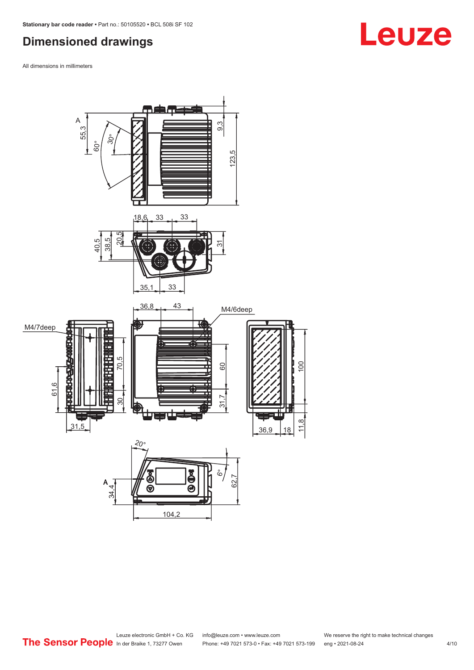# <span id="page-3-0"></span>**Dimensioned drawings**

All dimensions in millimeters



Leuze electronic GmbH + Co. KG info@leuze.com • www.leuze.com We reserve the right to make technical changes<br>
The Sensor People in der Braike 1, 73277 Owen Phone: +49 7021 573-0 • Fax: +49 7021 573-199 eng • 2021-08-24 Phone: +49 7021 573-0 • Fax: +49 7021 573-199 eng • 2021-08-24 4/10

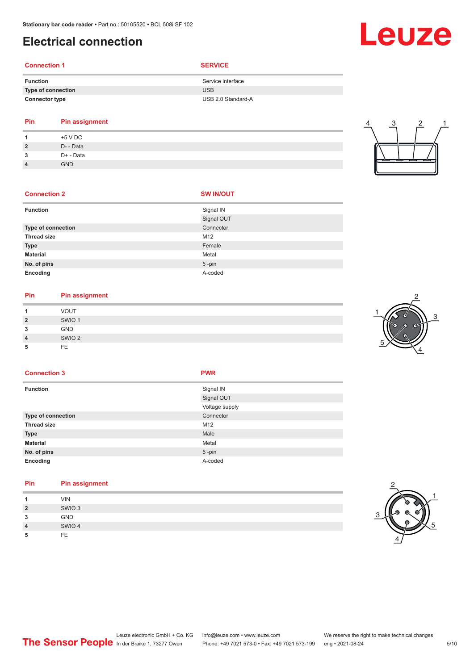# <span id="page-4-0"></span>**Electrical connection**

#### **Connection 1 SERVICE**

| <b>Function</b>       | Service interface  |
|-----------------------|--------------------|
| Type of connection    | <b>USB</b>         |
| <b>Connector type</b> | USB 2.0 Standard-A |
|                       |                    |

| <b>Pin</b> | <b>Pin assignment</b> |
|------------|-----------------------|
|            | $+5$ V DC             |

| $\overline{2}$ | D- - Data  |
|----------------|------------|
| 3              | D+ - Data  |
| 4              | <b>GND</b> |
|                |            |

# 4 3 2 1

#### **Connection 2**

|  | <b>SW IN/OUT</b> |
|--|------------------|
|  |                  |

| <b>Function</b>    | Signal IN  |
|--------------------|------------|
|                    | Signal OUT |
| Type of connection | Connector  |
| <b>Thread size</b> | M12        |
| <b>Type</b>        | Female     |
| <b>Material</b>    | Metal      |
| No. of pins        | $5$ -pin   |
| Encoding           | A-coded    |

# **Pin Pin assignment**

|   | <b>VOUT</b>       |
|---|-------------------|
| ິ | SWIO <sub>1</sub> |
| ∍ | GND               |
|   | SWIO <sub>2</sub> |
|   | FE                |



#### **Connection 3 PWR**

| <b>Function</b>           | Signal IN      |
|---------------------------|----------------|
|                           | Signal OUT     |
|                           | Voltage supply |
| <b>Type of connection</b> | Connector      |
| <b>Thread size</b>        | M12            |
| <b>Type</b>               | Male           |
| <b>Material</b>           | Metal          |
| No. of pins               | $5 - pin$      |

**Pin Pin assignment**

**Encoding** A-coded

| и              | <b>VIN</b>        |
|----------------|-------------------|
| $\overline{2}$ | SWIO <sub>3</sub> |
| 3              | <b>GND</b>        |
| $\overline{4}$ | SWIO 4            |
| 5              | FE                |



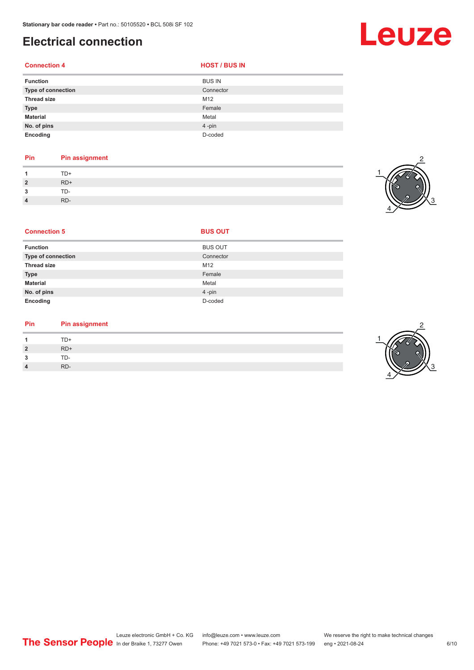# **Electrical connection**

#### **Connection 4**

| <b>HOST / BUS IN</b> |  |  |
|----------------------|--|--|
|                      |  |  |

| <b>Function</b>    | <b>BUS IN</b> |
|--------------------|---------------|
| Type of connection | Connector     |
| <b>Thread size</b> | M12           |
| <b>Type</b>        | Female        |
| <b>Material</b>    | Metal         |
| No. of pins        | 4-pin         |
| Encoding           | D-coded       |

#### **Pin Pin assignment**

|                | TD+   |
|----------------|-------|
| $\overline{2}$ | $RD+$ |
| 2<br>- 1       | TD-   |
| 4              | RD-   |



| <b>Connection 5</b>       | <b>BUS OUT</b> |  |
|---------------------------|----------------|--|
| <b>Function</b>           | <b>BUS OUT</b> |  |
| <b>Type of connection</b> | Connector      |  |
| <b>Thread size</b>        | M12            |  |
| <b>Type</b>               | Female         |  |
| <b>Material</b>           | Metal          |  |
| No. of pins               | 4-pin          |  |
| Encoding                  | D-coded        |  |

#### **Pin Pin assignment**

|                | TD+   |
|----------------|-------|
| $\overline{2}$ | $RD+$ |
| ຳ<br>- 3       | TD-   |
| 4              | RD-   |



Leuze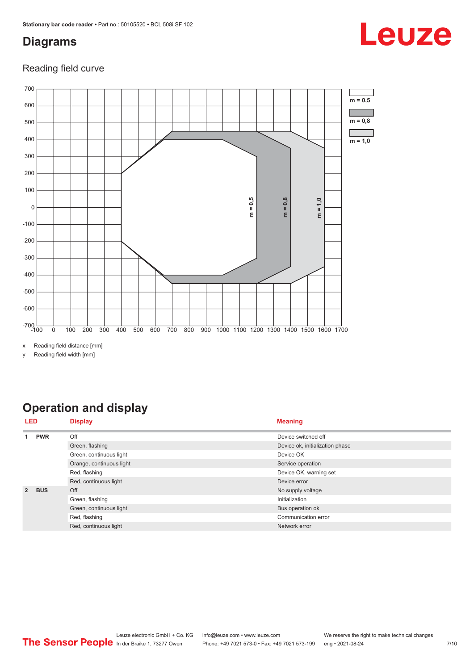# <span id="page-6-0"></span>**Diagrams**

# Leuze

#### Reading field curve



y Reading field width [mm]

# **Operation and display**

| <b>LED</b>    |            | <b>Display</b>           | <b>Meaning</b>                  |
|---------------|------------|--------------------------|---------------------------------|
|               | <b>PWR</b> | Off                      | Device switched off             |
|               |            | Green, flashing          | Device ok, initialization phase |
|               |            | Green, continuous light  | Device OK                       |
|               |            | Orange, continuous light | Service operation               |
|               |            | Red, flashing            | Device OK, warning set          |
|               |            | Red, continuous light    | Device error                    |
| $\mathcal{P}$ | <b>BUS</b> | Off                      | No supply voltage               |
|               |            | Green, flashing          | Initialization                  |
|               |            | Green, continuous light  | Bus operation ok                |
|               |            | Red, flashing            | Communication error             |
|               |            | Red, continuous light    | Network error                   |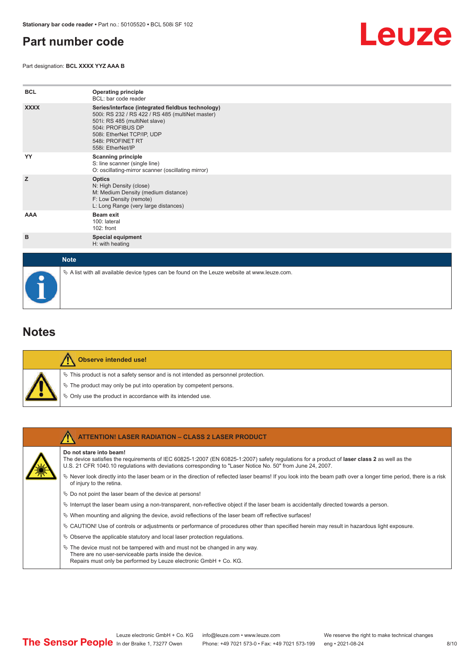# <span id="page-7-0"></span>**Part number code**

Part designation: **BCL XXXX YYZ AAA B**



| <b>BCL</b>  | <b>Operating principle</b><br>BCL: bar code reader                                                                                                                                                                                  |
|-------------|-------------------------------------------------------------------------------------------------------------------------------------------------------------------------------------------------------------------------------------|
| <b>XXXX</b> | Series/interface (integrated fieldbus technology)<br>500i: RS 232 / RS 422 / RS 485 (multiNet master)<br>501i: RS 485 (multiNet slave)<br>504i: PROFIBUS DP<br>508i: EtherNet TCP/IP, UDP<br>548i: PROFINET RT<br>558i: EtherNet/IP |
| YY          | <b>Scanning principle</b><br>S: line scanner (single line)<br>O: oscillating-mirror scanner (oscillating mirror)                                                                                                                    |
| z           | <b>Optics</b><br>N: High Density (close)<br>M: Medium Density (medium distance)<br>F: Low Density (remote)<br>L: Long Range (very large distances)                                                                                  |
| AAA         | <b>Beam exit</b><br>100: lateral<br>102: front                                                                                                                                                                                      |
| в           | <b>Special equipment</b><br>H: with heating                                                                                                                                                                                         |
| <b>Note</b> |                                                                                                                                                                                                                                     |

**Notes**

|  | <b>Observe intended use!</b>                                                          |
|--|---------------------------------------------------------------------------------------|
|  | $\%$ This product is not a safety sensor and is not intended as personnel protection. |
|  | $\%$ The product may only be put into operation by competent persons.                 |
|  | ♦ Only use the product in accordance with its intended use.                           |

 $\%$  A list with all available device types can be found on the Leuze website at www.leuze.com.

| <b>ATTENTION! LASER RADIATION - CLASS 2 LASER PRODUCT</b>                                                                                                                                                                                                                             |
|---------------------------------------------------------------------------------------------------------------------------------------------------------------------------------------------------------------------------------------------------------------------------------------|
| Do not stare into beam!<br>The device satisfies the requirements of IEC 60825-1:2007 (EN 60825-1:2007) safety regulations for a product of laser class 2 as well as the<br>U.S. 21 CFR 1040.10 regulations with deviations corresponding to "Laser Notice No. 50" from June 24, 2007. |
| $\%$ Never look directly into the laser beam or in the direction of reflected laser beams! If you look into the beam path over a longer time period, there is a risk<br>of injury to the retina.                                                                                      |
| $\%$ Do not point the laser beam of the device at persons!                                                                                                                                                                                                                            |
| $\%$ Interrupt the laser beam using a non-transparent, non-reflective object if the laser beam is accidentally directed towards a person.                                                                                                                                             |
| $\%$ When mounting and aligning the device, avoid reflections of the laser beam off reflective surfaces!                                                                                                                                                                              |
| $\%$ CAUTION! Use of controls or adjustments or performance of procedures other than specified herein may result in hazardous light exposure.                                                                                                                                         |
| $\&$ Observe the applicable statutory and local laser protection regulations.                                                                                                                                                                                                         |
| $\&$ The device must not be tampered with and must not be changed in any way.<br>There are no user-serviceable parts inside the device.<br>Repairs must only be performed by Leuze electronic GmbH + Co. KG.                                                                          |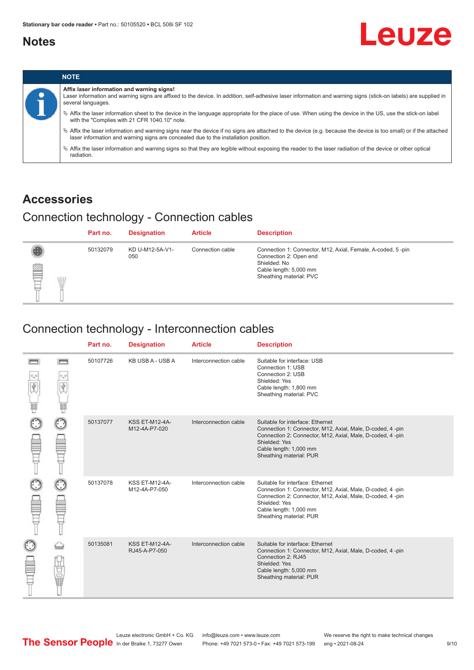### <span id="page-8-0"></span>**Notes**

# Leuze



### **Accessories**

# Connection technology - Connection cables

|             | Part no. | <b>Designation</b>     | <b>Article</b>   | <b>Description</b>                                                                                                                                         |
|-------------|----------|------------------------|------------------|------------------------------------------------------------------------------------------------------------------------------------------------------------|
| ₿<br>W<br>⊢ | 50132079 | KD U-M12-5A-V1-<br>050 | Connection cable | Connection 1: Connector, M12, Axial, Female, A-coded, 5-pin<br>Connection 2: Open end<br>Shielded: No<br>Cable length: 5,000 mm<br>Sheathing material: PVC |

#### Connection technology - Interconnection cables

|   |                   | Part no. | <b>Designation</b>                     | <b>Article</b>        | <b>Description</b>                                                                                                                                                                                                               |
|---|-------------------|----------|----------------------------------------|-----------------------|----------------------------------------------------------------------------------------------------------------------------------------------------------------------------------------------------------------------------------|
| Ħ | <b>books</b><br>ψ | 50107726 | KB USB A - USB A                       | Interconnection cable | Suitable for interface: USB<br>Connection 1: USB<br>Connection 2: USB<br>Shielded: Yes<br>Cable length: 1,800 mm<br>Sheathing material: PVC                                                                                      |
|   |                   | 50137077 | <b>KSS ET-M12-4A-</b><br>M12-4A-P7-020 | Interconnection cable | Suitable for interface: Ethernet<br>Connection 1: Connector, M12, Axial, Male, D-coded, 4-pin<br>Connection 2: Connector, M12, Axial, Male, D-coded, 4-pin<br>Shielded: Yes<br>Cable length: 1,000 mm<br>Sheathing material: PUR |
|   |                   | 50137078 | <b>KSS ET-M12-4A-</b><br>M12-4A-P7-050 | Interconnection cable | Suitable for interface: Ethernet<br>Connection 1: Connector, M12, Axial, Male, D-coded, 4-pin<br>Connection 2: Connector, M12, Axial, Male, D-coded, 4-pin<br>Shielded: Yes<br>Cable length: 1,000 mm<br>Sheathing material: PUR |
|   | 世軍                | 50135081 | <b>KSS ET-M12-4A-</b><br>RJ45-A-P7-050 | Interconnection cable | Suitable for interface: Ethernet<br>Connection 1: Connector, M12, Axial, Male, D-coded, 4-pin<br>Connection 2: RJ45<br>Shielded: Yes<br>Cable length: 5,000 mm<br>Sheathing material: PUR                                        |